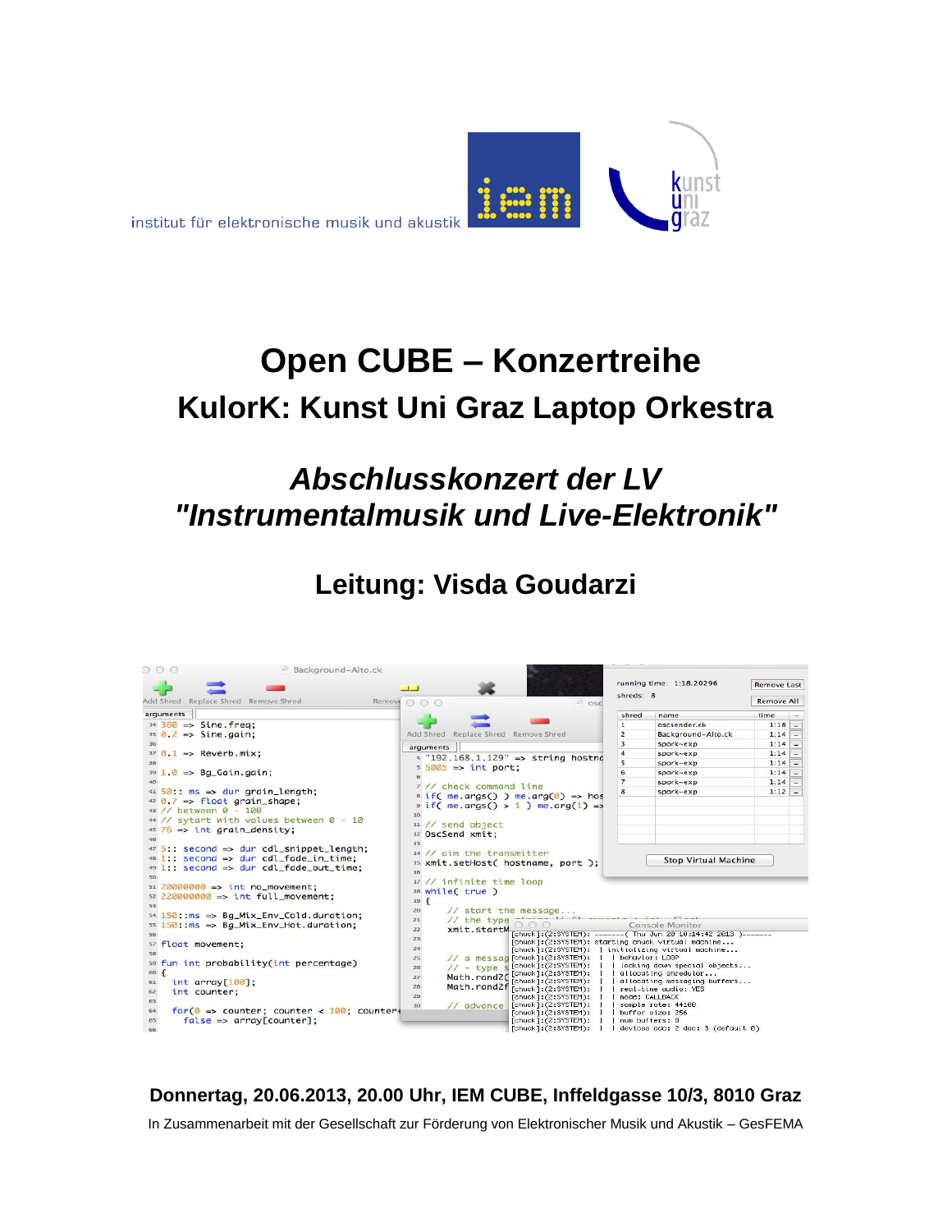

# **Open CUBE – Konzertreihe KulorK: Kunst Uni Graz Laptop Orkestra**

## *Abschlusskonzert der LV "Instrumentalmusik und Live-Elektronik"*

## **Leitung: Visda Goudarzi**

| running time: 1:18.20296<br><b>Remove Last</b><br>shreds: 8<br>Add Shred Replace Shred Remove Shred<br><b>Remove All</b><br>Remove $\bigcap$ $\bigcap$ $\bigcap$<br><b>osc</b><br>arguments<br>time<br>shred<br>name<br>million.<br>$34\frac{360}{2}$ => Sine.freq:<br>oscsender.ck<br>$1:18 -$<br>$\mathbf{1}$<br>$35$ 0.2 => Sine.aain:<br>Add Shred<br>Replace Shred Remove Shred<br>$\overline{z}$<br>Background-Alto.ck<br>$1:14$ –<br>3<br>$1:14 -$<br>spork~exp<br>arquments<br>$37$ 0.1 => Reverb.mix;<br>$\Delta$<br>$1:14$ -<br>spork~exp<br>$4$ "192.168.1.129" => string hostno<br>$\overline{\phantom{a}}$<br>$1:14$ -<br>spork~exp<br>$55005 \Rightarrow \text{int port}$ :<br>$391.0 \Rightarrow$ Bg_Gain.gain;<br>6<br>$1:14$ -<br>spork~exp<br>$\overline{z}$<br>$1:14$ -<br>spork~exp<br>7 // check command line<br>$41\,50$ : ms => dur grain_length;<br>$1:12 -$<br>spork~exp<br>8<br>$s$ if( me.args() ) me.arg(0) => hos<br>$42$ 0.7 => float grain_shape:<br>$\frac{1}{2}$ if( me.args() > 1) me.arg(1) =><br>43 // between 0 - 100<br>10<br>44 // sytart with values between 0 - 10<br>$11$ // send object<br>$45\frac{76}{ }$ => int grain_density;<br>12 OscSend xmit:<br>13<br>$475$ : second => dur cdl_snippet_length;<br>$14$ // $\alpha$ im the transmitter<br>$48$ 1:: second => dur cdl_fade_in_time:<br><b>Stop Virtual Machine</b><br>15 xmit.setHost( hostname, port );<br>49 1: second => dur cdl_fade_out_time;<br>16<br>50<br>17 // infinite time loop<br>$51\,$ 20000000 => int no_movement:<br>18 while( true )<br>$s2$ 220000000 => int full_movement;<br>$19 \frac{2}{3}$<br>53<br>// start the message<br>20<br>$54$ 150: ms => Bg_Mix_Env_Cold.duration;<br>$11$ the type<br>21<br>$55$ 150: $ms$ => Bq_Mix_Env_Hot.duration;<br>Console Monitor<br>xmit.startM<br>22<br>[chuck]:(2:SYSTEM): -------( Thu Jun 20 10:14:42 2013 )-------<br>56<br>23<br>[chuck]:(2:SYSTEM): starting chuck virtual machine<br>57 float movement;<br>24<br>[chuck]:(2:SYSTEM):   initializing virtual machine<br>58<br>// a messad [chuck]: (2:SYSTEM):     behavior: LOOP<br>25<br>59 fun int probability(int percentage)<br>[chuck]:(2:SYSTEM):     locking down special objects<br>$11 - type S$<br>26<br>$\overline{A}$<br>60<br>[chuck]: (2:SYSTEM):     allocating shreduler<br>Math.rand2(<br>27<br>[chuck]:(2:SYSTEM):     allocating messaging buffers<br>int array[100];<br>61<br>Math.rand2f [chuck]:(2:SYSTEM):     real-time audio: YES<br>28<br>int counter:<br>62<br>29<br>[chuck]: (2:SYSTEM):<br>mode: CALLBACK<br>63<br>[chuck] : (2:SYSTEM):    <br>sample rate: 44100<br>$\frac{1}{2}$ advance<br>30<br>$for 0 \Rightarrow counter; counter < 100; counter$<br>64<br>[chuck]: (2:SYSTEM):<br>buffer size: 256<br>$false \Rightarrow array[counter];$<br>65<br>$[chuck]$ : $(2:SVSTEM)$ :<br>I num buffers: 8<br>[chuck]:(2:SYSTEM):  <br>devices adc: 2 dac: 3 (default 0)<br>66 | 000<br>Background-Alto.ck |  |  |
|---------------------------------------------------------------------------------------------------------------------------------------------------------------------------------------------------------------------------------------------------------------------------------------------------------------------------------------------------------------------------------------------------------------------------------------------------------------------------------------------------------------------------------------------------------------------------------------------------------------------------------------------------------------------------------------------------------------------------------------------------------------------------------------------------------------------------------------------------------------------------------------------------------------------------------------------------------------------------------------------------------------------------------------------------------------------------------------------------------------------------------------------------------------------------------------------------------------------------------------------------------------------------------------------------------------------------------------------------------------------------------------------------------------------------------------------------------------------------------------------------------------------------------------------------------------------------------------------------------------------------------------------------------------------------------------------------------------------------------------------------------------------------------------------------------------------------------------------------------------------------------------------------------------------------------------------------------------------------------------------------------------------------------------------------------------------------------------------------------------------------------------------------------------------------------------------------------------------------------------------------------------------------------------------------------------------------------------------------------------------------------------------------------------------------------------------------------------------------------------------------------------------------------------------------------------------------------------------------------------------------------------------------------------------------------------------------------------------------------------------------------------------------------------------------------------------------------------------------------------------------------------------------------------------------------|---------------------------|--|--|
|                                                                                                                                                                                                                                                                                                                                                                                                                                                                                                                                                                                                                                                                                                                                                                                                                                                                                                                                                                                                                                                                                                                                                                                                                                                                                                                                                                                                                                                                                                                                                                                                                                                                                                                                                                                                                                                                                                                                                                                                                                                                                                                                                                                                                                                                                                                                                                                                                                                                                                                                                                                                                                                                                                                                                                                                                                                                                                                                 |                           |  |  |
|                                                                                                                                                                                                                                                                                                                                                                                                                                                                                                                                                                                                                                                                                                                                                                                                                                                                                                                                                                                                                                                                                                                                                                                                                                                                                                                                                                                                                                                                                                                                                                                                                                                                                                                                                                                                                                                                                                                                                                                                                                                                                                                                                                                                                                                                                                                                                                                                                                                                                                                                                                                                                                                                                                                                                                                                                                                                                                                                 |                           |  |  |
|                                                                                                                                                                                                                                                                                                                                                                                                                                                                                                                                                                                                                                                                                                                                                                                                                                                                                                                                                                                                                                                                                                                                                                                                                                                                                                                                                                                                                                                                                                                                                                                                                                                                                                                                                                                                                                                                                                                                                                                                                                                                                                                                                                                                                                                                                                                                                                                                                                                                                                                                                                                                                                                                                                                                                                                                                                                                                                                                 |                           |  |  |
|                                                                                                                                                                                                                                                                                                                                                                                                                                                                                                                                                                                                                                                                                                                                                                                                                                                                                                                                                                                                                                                                                                                                                                                                                                                                                                                                                                                                                                                                                                                                                                                                                                                                                                                                                                                                                                                                                                                                                                                                                                                                                                                                                                                                                                                                                                                                                                                                                                                                                                                                                                                                                                                                                                                                                                                                                                                                                                                                 |                           |  |  |
|                                                                                                                                                                                                                                                                                                                                                                                                                                                                                                                                                                                                                                                                                                                                                                                                                                                                                                                                                                                                                                                                                                                                                                                                                                                                                                                                                                                                                                                                                                                                                                                                                                                                                                                                                                                                                                                                                                                                                                                                                                                                                                                                                                                                                                                                                                                                                                                                                                                                                                                                                                                                                                                                                                                                                                                                                                                                                                                                 |                           |  |  |
|                                                                                                                                                                                                                                                                                                                                                                                                                                                                                                                                                                                                                                                                                                                                                                                                                                                                                                                                                                                                                                                                                                                                                                                                                                                                                                                                                                                                                                                                                                                                                                                                                                                                                                                                                                                                                                                                                                                                                                                                                                                                                                                                                                                                                                                                                                                                                                                                                                                                                                                                                                                                                                                                                                                                                                                                                                                                                                                                 |                           |  |  |
|                                                                                                                                                                                                                                                                                                                                                                                                                                                                                                                                                                                                                                                                                                                                                                                                                                                                                                                                                                                                                                                                                                                                                                                                                                                                                                                                                                                                                                                                                                                                                                                                                                                                                                                                                                                                                                                                                                                                                                                                                                                                                                                                                                                                                                                                                                                                                                                                                                                                                                                                                                                                                                                                                                                                                                                                                                                                                                                                 |                           |  |  |
|                                                                                                                                                                                                                                                                                                                                                                                                                                                                                                                                                                                                                                                                                                                                                                                                                                                                                                                                                                                                                                                                                                                                                                                                                                                                                                                                                                                                                                                                                                                                                                                                                                                                                                                                                                                                                                                                                                                                                                                                                                                                                                                                                                                                                                                                                                                                                                                                                                                                                                                                                                                                                                                                                                                                                                                                                                                                                                                                 |                           |  |  |
|                                                                                                                                                                                                                                                                                                                                                                                                                                                                                                                                                                                                                                                                                                                                                                                                                                                                                                                                                                                                                                                                                                                                                                                                                                                                                                                                                                                                                                                                                                                                                                                                                                                                                                                                                                                                                                                                                                                                                                                                                                                                                                                                                                                                                                                                                                                                                                                                                                                                                                                                                                                                                                                                                                                                                                                                                                                                                                                                 |                           |  |  |
|                                                                                                                                                                                                                                                                                                                                                                                                                                                                                                                                                                                                                                                                                                                                                                                                                                                                                                                                                                                                                                                                                                                                                                                                                                                                                                                                                                                                                                                                                                                                                                                                                                                                                                                                                                                                                                                                                                                                                                                                                                                                                                                                                                                                                                                                                                                                                                                                                                                                                                                                                                                                                                                                                                                                                                                                                                                                                                                                 |                           |  |  |
|                                                                                                                                                                                                                                                                                                                                                                                                                                                                                                                                                                                                                                                                                                                                                                                                                                                                                                                                                                                                                                                                                                                                                                                                                                                                                                                                                                                                                                                                                                                                                                                                                                                                                                                                                                                                                                                                                                                                                                                                                                                                                                                                                                                                                                                                                                                                                                                                                                                                                                                                                                                                                                                                                                                                                                                                                                                                                                                                 |                           |  |  |
|                                                                                                                                                                                                                                                                                                                                                                                                                                                                                                                                                                                                                                                                                                                                                                                                                                                                                                                                                                                                                                                                                                                                                                                                                                                                                                                                                                                                                                                                                                                                                                                                                                                                                                                                                                                                                                                                                                                                                                                                                                                                                                                                                                                                                                                                                                                                                                                                                                                                                                                                                                                                                                                                                                                                                                                                                                                                                                                                 |                           |  |  |
|                                                                                                                                                                                                                                                                                                                                                                                                                                                                                                                                                                                                                                                                                                                                                                                                                                                                                                                                                                                                                                                                                                                                                                                                                                                                                                                                                                                                                                                                                                                                                                                                                                                                                                                                                                                                                                                                                                                                                                                                                                                                                                                                                                                                                                                                                                                                                                                                                                                                                                                                                                                                                                                                                                                                                                                                                                                                                                                                 |                           |  |  |
|                                                                                                                                                                                                                                                                                                                                                                                                                                                                                                                                                                                                                                                                                                                                                                                                                                                                                                                                                                                                                                                                                                                                                                                                                                                                                                                                                                                                                                                                                                                                                                                                                                                                                                                                                                                                                                                                                                                                                                                                                                                                                                                                                                                                                                                                                                                                                                                                                                                                                                                                                                                                                                                                                                                                                                                                                                                                                                                                 |                           |  |  |
|                                                                                                                                                                                                                                                                                                                                                                                                                                                                                                                                                                                                                                                                                                                                                                                                                                                                                                                                                                                                                                                                                                                                                                                                                                                                                                                                                                                                                                                                                                                                                                                                                                                                                                                                                                                                                                                                                                                                                                                                                                                                                                                                                                                                                                                                                                                                                                                                                                                                                                                                                                                                                                                                                                                                                                                                                                                                                                                                 |                           |  |  |
|                                                                                                                                                                                                                                                                                                                                                                                                                                                                                                                                                                                                                                                                                                                                                                                                                                                                                                                                                                                                                                                                                                                                                                                                                                                                                                                                                                                                                                                                                                                                                                                                                                                                                                                                                                                                                                                                                                                                                                                                                                                                                                                                                                                                                                                                                                                                                                                                                                                                                                                                                                                                                                                                                                                                                                                                                                                                                                                                 |                           |  |  |
|                                                                                                                                                                                                                                                                                                                                                                                                                                                                                                                                                                                                                                                                                                                                                                                                                                                                                                                                                                                                                                                                                                                                                                                                                                                                                                                                                                                                                                                                                                                                                                                                                                                                                                                                                                                                                                                                                                                                                                                                                                                                                                                                                                                                                                                                                                                                                                                                                                                                                                                                                                                                                                                                                                                                                                                                                                                                                                                                 |                           |  |  |
|                                                                                                                                                                                                                                                                                                                                                                                                                                                                                                                                                                                                                                                                                                                                                                                                                                                                                                                                                                                                                                                                                                                                                                                                                                                                                                                                                                                                                                                                                                                                                                                                                                                                                                                                                                                                                                                                                                                                                                                                                                                                                                                                                                                                                                                                                                                                                                                                                                                                                                                                                                                                                                                                                                                                                                                                                                                                                                                                 |                           |  |  |
|                                                                                                                                                                                                                                                                                                                                                                                                                                                                                                                                                                                                                                                                                                                                                                                                                                                                                                                                                                                                                                                                                                                                                                                                                                                                                                                                                                                                                                                                                                                                                                                                                                                                                                                                                                                                                                                                                                                                                                                                                                                                                                                                                                                                                                                                                                                                                                                                                                                                                                                                                                                                                                                                                                                                                                                                                                                                                                                                 |                           |  |  |
|                                                                                                                                                                                                                                                                                                                                                                                                                                                                                                                                                                                                                                                                                                                                                                                                                                                                                                                                                                                                                                                                                                                                                                                                                                                                                                                                                                                                                                                                                                                                                                                                                                                                                                                                                                                                                                                                                                                                                                                                                                                                                                                                                                                                                                                                                                                                                                                                                                                                                                                                                                                                                                                                                                                                                                                                                                                                                                                                 |                           |  |  |
|                                                                                                                                                                                                                                                                                                                                                                                                                                                                                                                                                                                                                                                                                                                                                                                                                                                                                                                                                                                                                                                                                                                                                                                                                                                                                                                                                                                                                                                                                                                                                                                                                                                                                                                                                                                                                                                                                                                                                                                                                                                                                                                                                                                                                                                                                                                                                                                                                                                                                                                                                                                                                                                                                                                                                                                                                                                                                                                                 |                           |  |  |
|                                                                                                                                                                                                                                                                                                                                                                                                                                                                                                                                                                                                                                                                                                                                                                                                                                                                                                                                                                                                                                                                                                                                                                                                                                                                                                                                                                                                                                                                                                                                                                                                                                                                                                                                                                                                                                                                                                                                                                                                                                                                                                                                                                                                                                                                                                                                                                                                                                                                                                                                                                                                                                                                                                                                                                                                                                                                                                                                 |                           |  |  |
|                                                                                                                                                                                                                                                                                                                                                                                                                                                                                                                                                                                                                                                                                                                                                                                                                                                                                                                                                                                                                                                                                                                                                                                                                                                                                                                                                                                                                                                                                                                                                                                                                                                                                                                                                                                                                                                                                                                                                                                                                                                                                                                                                                                                                                                                                                                                                                                                                                                                                                                                                                                                                                                                                                                                                                                                                                                                                                                                 |                           |  |  |
|                                                                                                                                                                                                                                                                                                                                                                                                                                                                                                                                                                                                                                                                                                                                                                                                                                                                                                                                                                                                                                                                                                                                                                                                                                                                                                                                                                                                                                                                                                                                                                                                                                                                                                                                                                                                                                                                                                                                                                                                                                                                                                                                                                                                                                                                                                                                                                                                                                                                                                                                                                                                                                                                                                                                                                                                                                                                                                                                 |                           |  |  |
|                                                                                                                                                                                                                                                                                                                                                                                                                                                                                                                                                                                                                                                                                                                                                                                                                                                                                                                                                                                                                                                                                                                                                                                                                                                                                                                                                                                                                                                                                                                                                                                                                                                                                                                                                                                                                                                                                                                                                                                                                                                                                                                                                                                                                                                                                                                                                                                                                                                                                                                                                                                                                                                                                                                                                                                                                                                                                                                                 |                           |  |  |
|                                                                                                                                                                                                                                                                                                                                                                                                                                                                                                                                                                                                                                                                                                                                                                                                                                                                                                                                                                                                                                                                                                                                                                                                                                                                                                                                                                                                                                                                                                                                                                                                                                                                                                                                                                                                                                                                                                                                                                                                                                                                                                                                                                                                                                                                                                                                                                                                                                                                                                                                                                                                                                                                                                                                                                                                                                                                                                                                 |                           |  |  |
|                                                                                                                                                                                                                                                                                                                                                                                                                                                                                                                                                                                                                                                                                                                                                                                                                                                                                                                                                                                                                                                                                                                                                                                                                                                                                                                                                                                                                                                                                                                                                                                                                                                                                                                                                                                                                                                                                                                                                                                                                                                                                                                                                                                                                                                                                                                                                                                                                                                                                                                                                                                                                                                                                                                                                                                                                                                                                                                                 |                           |  |  |
|                                                                                                                                                                                                                                                                                                                                                                                                                                                                                                                                                                                                                                                                                                                                                                                                                                                                                                                                                                                                                                                                                                                                                                                                                                                                                                                                                                                                                                                                                                                                                                                                                                                                                                                                                                                                                                                                                                                                                                                                                                                                                                                                                                                                                                                                                                                                                                                                                                                                                                                                                                                                                                                                                                                                                                                                                                                                                                                                 |                           |  |  |
|                                                                                                                                                                                                                                                                                                                                                                                                                                                                                                                                                                                                                                                                                                                                                                                                                                                                                                                                                                                                                                                                                                                                                                                                                                                                                                                                                                                                                                                                                                                                                                                                                                                                                                                                                                                                                                                                                                                                                                                                                                                                                                                                                                                                                                                                                                                                                                                                                                                                                                                                                                                                                                                                                                                                                                                                                                                                                                                                 |                           |  |  |
|                                                                                                                                                                                                                                                                                                                                                                                                                                                                                                                                                                                                                                                                                                                                                                                                                                                                                                                                                                                                                                                                                                                                                                                                                                                                                                                                                                                                                                                                                                                                                                                                                                                                                                                                                                                                                                                                                                                                                                                                                                                                                                                                                                                                                                                                                                                                                                                                                                                                                                                                                                                                                                                                                                                                                                                                                                                                                                                                 |                           |  |  |
|                                                                                                                                                                                                                                                                                                                                                                                                                                                                                                                                                                                                                                                                                                                                                                                                                                                                                                                                                                                                                                                                                                                                                                                                                                                                                                                                                                                                                                                                                                                                                                                                                                                                                                                                                                                                                                                                                                                                                                                                                                                                                                                                                                                                                                                                                                                                                                                                                                                                                                                                                                                                                                                                                                                                                                                                                                                                                                                                 |                           |  |  |
|                                                                                                                                                                                                                                                                                                                                                                                                                                                                                                                                                                                                                                                                                                                                                                                                                                                                                                                                                                                                                                                                                                                                                                                                                                                                                                                                                                                                                                                                                                                                                                                                                                                                                                                                                                                                                                                                                                                                                                                                                                                                                                                                                                                                                                                                                                                                                                                                                                                                                                                                                                                                                                                                                                                                                                                                                                                                                                                                 |                           |  |  |
|                                                                                                                                                                                                                                                                                                                                                                                                                                                                                                                                                                                                                                                                                                                                                                                                                                                                                                                                                                                                                                                                                                                                                                                                                                                                                                                                                                                                                                                                                                                                                                                                                                                                                                                                                                                                                                                                                                                                                                                                                                                                                                                                                                                                                                                                                                                                                                                                                                                                                                                                                                                                                                                                                                                                                                                                                                                                                                                                 |                           |  |  |
|                                                                                                                                                                                                                                                                                                                                                                                                                                                                                                                                                                                                                                                                                                                                                                                                                                                                                                                                                                                                                                                                                                                                                                                                                                                                                                                                                                                                                                                                                                                                                                                                                                                                                                                                                                                                                                                                                                                                                                                                                                                                                                                                                                                                                                                                                                                                                                                                                                                                                                                                                                                                                                                                                                                                                                                                                                                                                                                                 |                           |  |  |
|                                                                                                                                                                                                                                                                                                                                                                                                                                                                                                                                                                                                                                                                                                                                                                                                                                                                                                                                                                                                                                                                                                                                                                                                                                                                                                                                                                                                                                                                                                                                                                                                                                                                                                                                                                                                                                                                                                                                                                                                                                                                                                                                                                                                                                                                                                                                                                                                                                                                                                                                                                                                                                                                                                                                                                                                                                                                                                                                 |                           |  |  |

#### **Donnertag, 20.06.2013, 20.00 Uhr, IEM CUBE, Inffeldgasse 10/3, 8010 Graz**

In Zusammenarbeit mit der Gesellschaft zur Förderung von Elektronischer Musik und Akustik – GesFEMA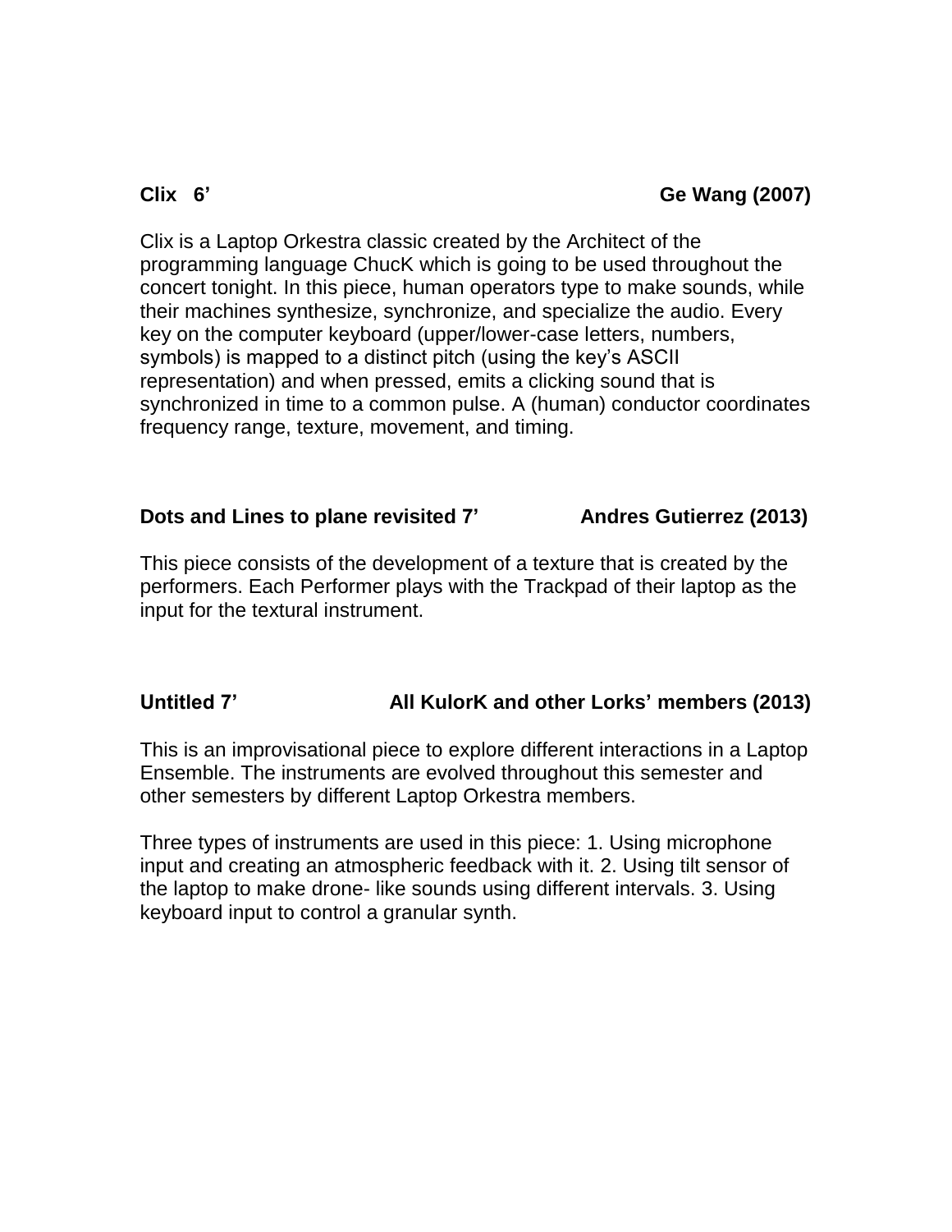### **Clix 6' Ge Wang (2007)**

Clix is a Laptop Orkestra classic created by the Architect of the programming language ChucK which is going to be used throughout the concert tonight. In this piece, human operators type to make sounds, while their machines synthesize, synchronize, and specialize the audio. Every key on the computer keyboard (upper/lower-case letters, numbers, symbols) is mapped to a distinct pitch (using the key's ASCII representation) and when pressed, emits a clicking sound that is synchronized in time to a common pulse. A (human) conductor coordinates frequency range, texture, movement, and timing.

#### **Dots and Lines to plane revisited 7' Andres Gutierrez (2013)**

This piece consists of the development of a texture that is created by the performers. Each Performer plays with the Trackpad of their laptop as the input for the textural instrument.

### **Untitled 7' All KulorK and other Lorks' members (2013)**

This is an improvisational piece to explore different interactions in a Laptop Ensemble. The instruments are evolved throughout this semester and other semesters by different Laptop Orkestra members.

Three types of instruments are used in this piece: 1. Using microphone input and creating an atmospheric feedback with it. 2. Using tilt sensor of the laptop to make drone- like sounds using different intervals. 3. Using keyboard input to control a granular synth.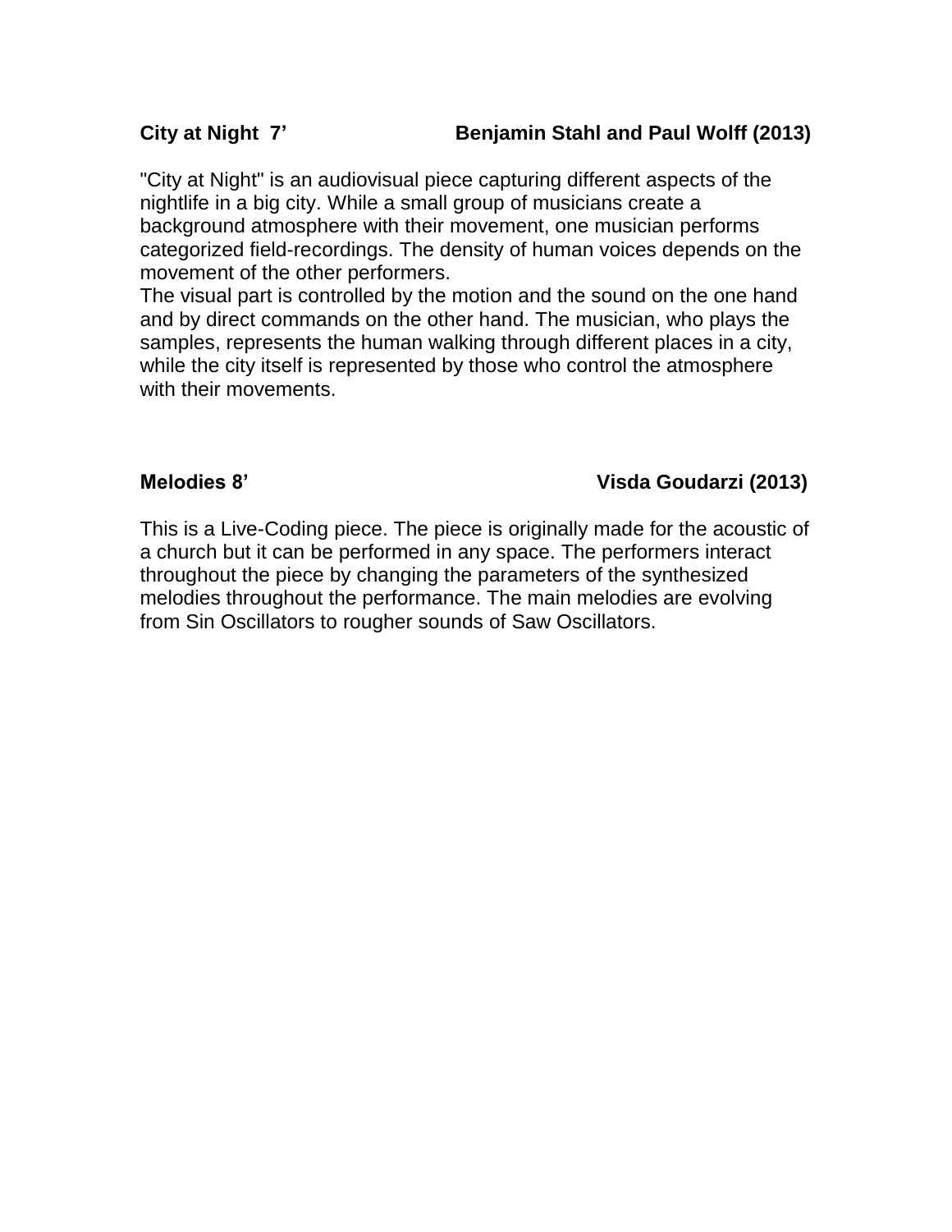#### **City at Night 7' Benjamin Stahl and Paul Wolff (2013)**

"City at Night" is an audiovisual piece capturing different aspects of the nightlife in a big city. While a small group of musicians create a background atmosphere with their movement, one musician performs categorized field-recordings. The density of human voices depends on the movement of the other performers.

The visual part is controlled by the motion and the sound on the one hand and by direct commands on the other hand. The musician, who plays the samples, represents the human walking through different places in a city, while the city itself is represented by those who control the atmosphere with their movements.

#### **Melodies 8' Visda Goudarzi (2013)**

This is a Live-Coding piece. The piece is originally made for the acoustic of a church but it can be performed in any space. The performers interact throughout the piece by changing the parameters of the synthesized melodies throughout the performance. The main melodies are evolving from Sin Oscillators to rougher sounds of Saw Oscillators.